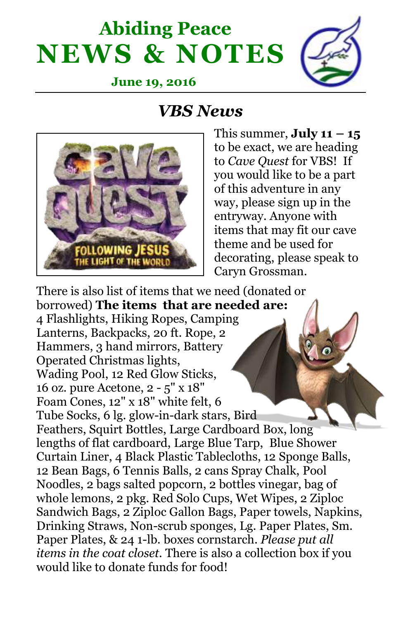# **Abiding Peace NEWS & NOTES**



 **June 19, 2016**

#### *VBS News*



This summer,  $\text{July 11} - 15$ to be exact, we are heading to *Cave Quest* for VBS! If you would like to be a part of this adventure in any way, please sign up in the entryway. Anyone with items that may fit our cave theme and be used for decorating, please speak to Caryn Grossman.

There is also list of items that we need (donated or borrowed) **The items that are needed are:** 4 Flashlights, Hiking Ropes, Camping Lanterns, Backpacks, 20 ft. Rope, 2 Hammers, 3 hand mirrors, Battery Operated Christmas lights, Wading Pool, 12 Red Glow Sticks, 16 oz. pure Acetone, 2 - 5" x 18" Foam Cones, 12" x 18" white felt, 6 Tube Socks, 6 lg. glow-in-dark stars, Bird Feathers, Squirt Bottles, Large Cardboard Box, long lengths of flat cardboard, Large Blue Tarp, Blue Shower Curtain Liner, 4 Black Plastic Tablecloths, 12 Sponge Balls, 12 Bean Bags, 6 Tennis Balls, 2 cans Spray Chalk, Pool Noodles, 2 bags salted popcorn, 2 bottles vinegar, bag of whole lemons, 2 pkg. Red Solo Cups, Wet Wipes, 2 Ziploc Sandwich Bags, 2 Ziploc Gallon Bags, Paper towels, Napkins, Drinking Straws, Non-scrub sponges, Lg. Paper Plates, Sm. Paper Plates, & 24 1-lb. boxes cornstarch. *Please put all items in the coat closet.* There is also a collection box if you would like to donate funds for food!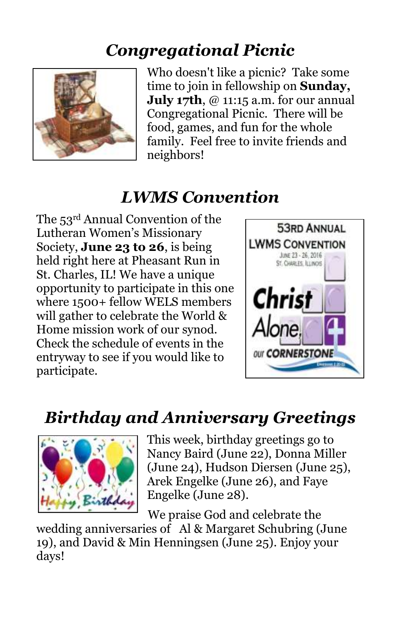## *Congregational Picnic*



Who doesn't like a picnic? Take some time to join in fellowship on **Sunday, July 17th**, @ 11:15 a.m. for our annual Congregational Picnic. There will be food, games, and fun for the whole family. Feel free to invite friends and neighbors!

#### *LWMS Convention*

The 53rd Annual Convention of the Lutheran Women's Missionary Society, **June 23 to 26**, is being held right here at Pheasant Run in St. Charles, IL! We have a unique opportunity to participate in this one where 1500+ fellow WELS members will gather to celebrate the World & Home mission work of our synod. Check the schedule of events in the entryway to see if you would like to participate.



#### *Birthday and Anniversary Greetings*



This week, birthday greetings go to Nancy Baird (June 22), Donna Miller (June 24), Hudson Diersen (June 25), Arek Engelke (June 26), and Faye Engelke (June 28).

We praise God and celebrate the

wedding anniversaries of Al & Margaret Schubring (June 19), and David & Min Henningsen (June 25). Enjoy your days!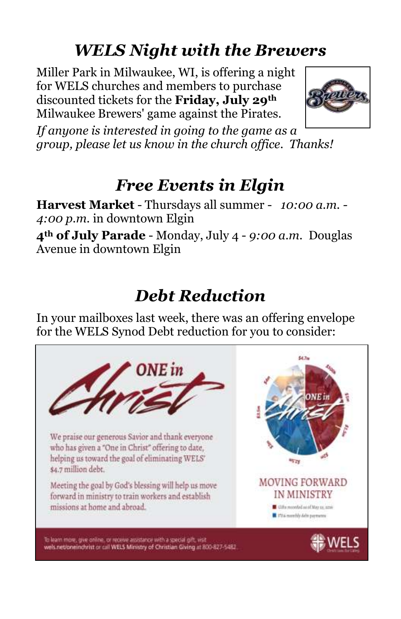## *WELS Night with the Brewers*

Miller Park in Milwaukee, WI, is offering a night for WELS churches and members to purchase discounted tickets for the **Friday, July 29th** Milwaukee Brewers' game against the Pirates.



*If anyone is interested in going to the game as a group, please let us know in the church office. Thanks!*

## *Free Events in Elgin*

**Harvest Market** - Thursdays all summer - *10:00 a.m. - 4:00 p.m.* in downtown Elgin **4th of July Parade** - Monday, July 4 - *9:00 a.m.* Douglas Avenue in downtown Elgin

## *Debt Reduction*

In your mailboxes last week, there was an offering envelope for the WELS Synod Debt reduction for you to consider: